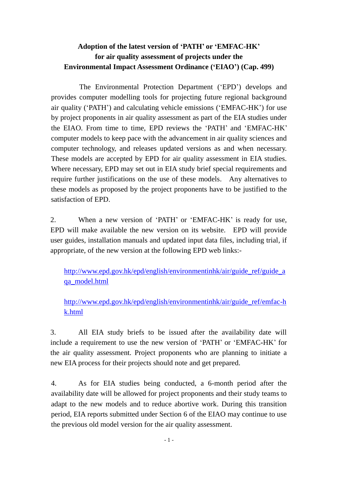## **Adoption of the latest version of 'PATH' or 'EMFAC-HK' for air quality assessment of projects under the Environmental Impact Assessment Ordinance ('EIAO') (Cap. 499)**

The Environmental Protection Department ('EPD') develops and provides computer modelling tools for projecting future regional background air quality ('PATH') and calculating vehicle emissions ('EMFAC**-**HK') for use by project proponents in air quality assessment as part of the EIA studies under the EIAO. From time to time, EPD reviews the 'PATH' and 'EMFAC**-**HK' computer models to keep pace with the advancement in air quality sciences and computer technology, and releases updated versions as and when necessary. These models are accepted by EPD for air quality assessment in EIA studies. Where necessary, EPD may set out in EIA study brief special requirements and require further justifications on the use of these models. Any alternatives to these models as proposed by the project proponents have to be justified to the satisfaction of EPD.

2. When a new version of 'PATH' or 'EMFAC**-**HK' is ready for use, EPD will make available the new version on its website. EPD will provide user guides, installation manuals and updated input data files, including trial, if appropriate, of the new version at the following EPD web links:-

http://www.epd.gov.hk/epd/english/environmentinhk/air/guide ref/guide a [qa\\_model.html](http://www.epd.gov.hk/epd/english/environmentinhk/air/guide_ref/guide_aqa_model.html)

[http://www.epd.gov.hk/epd/english/environmentinhk/air/guide\\_ref/emfac-h](http://www.epd.gov.hk/epd/english/environmentinhk/air/guide_ref/emfac-hk.html) [k.html](http://www.epd.gov.hk/epd/english/environmentinhk/air/guide_ref/emfac-hk.html)

3. All EIA study briefs to be issued after the availability date will include a requirement to use the new version of 'PATH' or 'EMFAC**-**HK' for the air quality assessment. Project proponents who are planning to initiate a new EIA process for their projects should note and get prepared.

4. As for EIA studies being conducted, a 6-month period after the availability date will be allowed for project proponents and their study teams to adapt to the new models and to reduce abortive work. During this transition period, EIA reports submitted under Section 6 of the EIAO may continue to use the previous old model version for the air quality assessment.